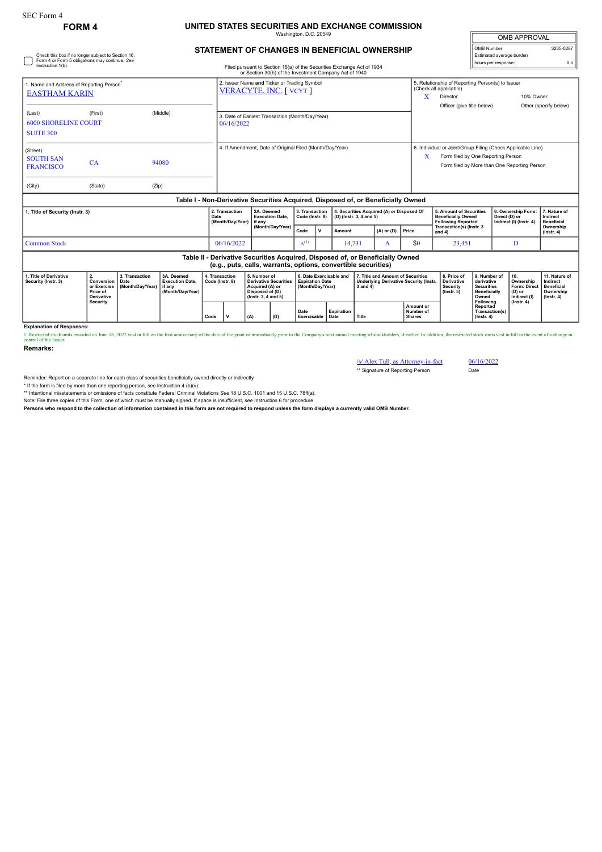## **FORM 4 UNITED STATES SECURITIES AND EXCHANGE COMMISSION** Washington, D.C. 20549

| <b>OMB APPROVAL</b>      |           |  |  |  |  |  |  |
|--------------------------|-----------|--|--|--|--|--|--|
| OMB Number:              | 3235-0287 |  |  |  |  |  |  |
| Estimated average burden |           |  |  |  |  |  |  |
| hours per response:      | ሰ 5       |  |  |  |  |  |  |

## **STATEMENT OF CHANGES IN BENEFICIAL OWNERSHIP**

| Check this box if no longer subject to Section 16.<br>Form 4 or Form 5 obligations may continue. See<br>Instruction 1(b).<br>Filed pursuant to Section 16(a) of the Securities Exchange Act of 1934 |         |                                                                                                                                                                                                   |                                            |                                                |                                                                                                                                                 |           |                                                                      |                                                                                   |   |                                                                                   |                                                                                    | Estimated average burden<br>hours per response:                                                                                                                 |                                               | 0.5                                                                                                                                                      |                                                                                 |
|-----------------------------------------------------------------------------------------------------------------------------------------------------------------------------------------------------|---------|---------------------------------------------------------------------------------------------------------------------------------------------------------------------------------------------------|--------------------------------------------|------------------------------------------------|-------------------------------------------------------------------------------------------------------------------------------------------------|-----------|----------------------------------------------------------------------|-----------------------------------------------------------------------------------|---|-----------------------------------------------------------------------------------|------------------------------------------------------------------------------------|-----------------------------------------------------------------------------------------------------------------------------------------------------------------|-----------------------------------------------|----------------------------------------------------------------------------------------------------------------------------------------------------------|---------------------------------------------------------------------------------|
| 1. Name and Address of Reporting Person <sup>*</sup><br><b>EASTHAM KARIN</b>                                                                                                                        |         |                                                                                                                                                                                                   |                                            |                                                | or Section 30(h) of the Investment Company Act of 1940<br>2. Issuer Name and Ticker or Trading Symbol<br>VERACYTE, INC. [VCYT]                  |           |                                                                      |                                                                                   |   |                                                                                   |                                                                                    | 5. Relationship of Reporting Person(s) to Issuer<br>(Check all applicable)<br>10% Owner<br>X<br>Director<br>Officer (give title below)<br>Other (specify below) |                                               |                                                                                                                                                          |                                                                                 |
| (Last)<br><b>6000 SHORELINE COURT</b><br><b>SUITE 300</b>                                                                                                                                           | (First) |                                                                                                                                                                                                   | (Middle)                                   |                                                | 3. Date of Earliest Transaction (Month/Day/Year)<br>06/16/2022                                                                                  |           |                                                                      |                                                                                   |   |                                                                                   |                                                                                    |                                                                                                                                                                 |                                               |                                                                                                                                                          |                                                                                 |
| (Street)<br><b>SOUTH SAN</b><br><b>FRANCISCO</b>                                                                                                                                                    | CA      |                                                                                                                                                                                                   | 94080                                      |                                                | 4. If Amendment, Date of Original Filed (Month/Day/Year)                                                                                        |           |                                                                      |                                                                                   |   |                                                                                   |                                                                                    | 6. Individual or Joint/Group Filing (Check Applicable Line)<br>x<br>Form filed by One Reporting Person<br>Form filed by More than One Reporting Person          |                                               |                                                                                                                                                          |                                                                                 |
| (City)                                                                                                                                                                                              | (State) | (Zip)                                                                                                                                                                                             |                                            |                                                |                                                                                                                                                 |           |                                                                      |                                                                                   |   |                                                                                   |                                                                                    |                                                                                                                                                                 |                                               |                                                                                                                                                          |                                                                                 |
|                                                                                                                                                                                                     |         |                                                                                                                                                                                                   |                                            |                                                | Table I - Non-Derivative Securities Acquired, Disposed of, or Beneficially Owned                                                                |           |                                                                      |                                                                                   |   |                                                                                   |                                                                                    |                                                                                                                                                                 |                                               |                                                                                                                                                          |                                                                                 |
| 1. Title of Security (Instr. 3)                                                                                                                                                                     |         |                                                                                                                                                                                                   | 2. Transaction<br>Date<br>(Month/Day/Year) | 2A. Deemed<br><b>Execution Date,</b><br>if anv | 3. Transaction<br>Code (Instr. 8)                                                                                                               |           | 4. Securities Acquired (A) or Disposed Of<br>(D) (Instr. 3, 4 and 5) |                                                                                   |   | 5. Amount of Securities<br><b>Beneficially Owned</b><br><b>Following Reported</b> |                                                                                    | 6. Ownership Form:<br>Direct (D) or<br>Indirect (I) (Instr. 4)                                                                                                  | 7. Nature of<br>Indirect<br><b>Beneficial</b> |                                                                                                                                                          |                                                                                 |
|                                                                                                                                                                                                     |         |                                                                                                                                                                                                   |                                            |                                                | (Month/Day/Year)                                                                                                                                | Code      | <b>V</b>                                                             | Amount                                                                            |   | $(A)$ or $(D)$                                                                    | Price                                                                              | Transaction(s) (Instr. 3<br>and 4)                                                                                                                              |                                               |                                                                                                                                                          | Ownership<br>$($ lnstr. 4 $)$                                                   |
| <b>Common Stock</b><br>06/16/2022                                                                                                                                                                   |         |                                                                                                                                                                                                   |                                            |                                                |                                                                                                                                                 | $A^{(1)}$ |                                                                      | 14,731                                                                            | A |                                                                                   | \$0                                                                                | 23,451                                                                                                                                                          |                                               | D                                                                                                                                                        |                                                                                 |
|                                                                                                                                                                                                     |         |                                                                                                                                                                                                   |                                            |                                                | Table II - Derivative Securities Acquired, Disposed of, or Beneficially Owned<br>(e.g., puts, calls, warrants, options, convertible securities) |           |                                                                      |                                                                                   |   |                                                                                   |                                                                                    |                                                                                                                                                                 |                                               |                                                                                                                                                          |                                                                                 |
| 2.<br>1. Title of Derivative<br>Security (Instr. 3)                                                                                                                                                 |         | 3A. Deemed<br>3. Transaction<br>Conversion<br><b>Execution Date,</b><br>Date<br>or Exercise<br>(Month/Day/Year)<br>if anv<br>Price of<br>(Month/Day/Year)<br><b>Derivative</b><br><b>Security</b> |                                            | 4. Transaction<br>Code (Instr. 8)              | 5. Number of<br><b>Derivative Securities</b><br>Acquired (A) or<br>Disposed of (D)<br>(Instr. 3, 4 and 5)                                       |           |                                                                      | 6. Date Exercisable and<br><b>Expiration Date</b><br>(Month/Day/Year)<br>3 and 4) |   |                                                                                   | 7. Title and Amount of Securities<br><b>Underlying Derivative Security (Instr.</b> | 8. Price of<br>Derivative<br><b>Security</b><br>$($ lnstr. 5 $)$                                                                                                |                                               | 9. Number of<br>10.<br>derivative<br>Ownership<br>Form: Direct<br><b>Securities</b><br><b>Beneficially</b><br>(D) or<br>Indirect (I)<br>$($ lnstr $, 4)$ | 11. Nature of<br>Indirect<br><b>Beneficial</b><br>Ownership<br>$($ lnstr. 4 $)$ |
|                                                                                                                                                                                                     |         |                                                                                                                                                                                                   |                                            |                                                |                                                                                                                                                 |           |                                                                      |                                                                                   |   |                                                                                   |                                                                                    |                                                                                                                                                                 | Following                                     |                                                                                                                                                          |                                                                                 |

**Explanation of Responses:**

1. Restricted stock units awarded on June 16, 2022 vest in full on the first anniversary of the date of the grant or immediately prior to the Company's next annual meeting of stockholders, if earlier. In addition, the rest

**Date Exercisable Expiration Date Title**

 $(A)$   $(B)$ 

**Remarks:**

/s/ Alex Tull, as Attorney-in-fact 06/16/2022 \*\* Signature of Reporting Person Date

**Amount or Number of Shares**

**Reported Transaction(s) (Instr. 4)**

Reminder: Report on a separate line for each class of securities beneficially owned directly or indirectly.

\* If the form is filed by more than one reporting person, *see* Instruction 4 (b)(v).

\*\* Intentional misstatements or omissions of facts constitute Federal Criminal Violations *See* 18 U.S.C. 1001 and 15 U.S.C. 78ff(a). Note: File three copies of this Form, one of which must be manually signed. If space is insufficient, *see* Instruction 6 for procedure.

**Persons who respond to the collection of information contained in this form are not required to respond unless the form displays a currently valid OMB Number.**